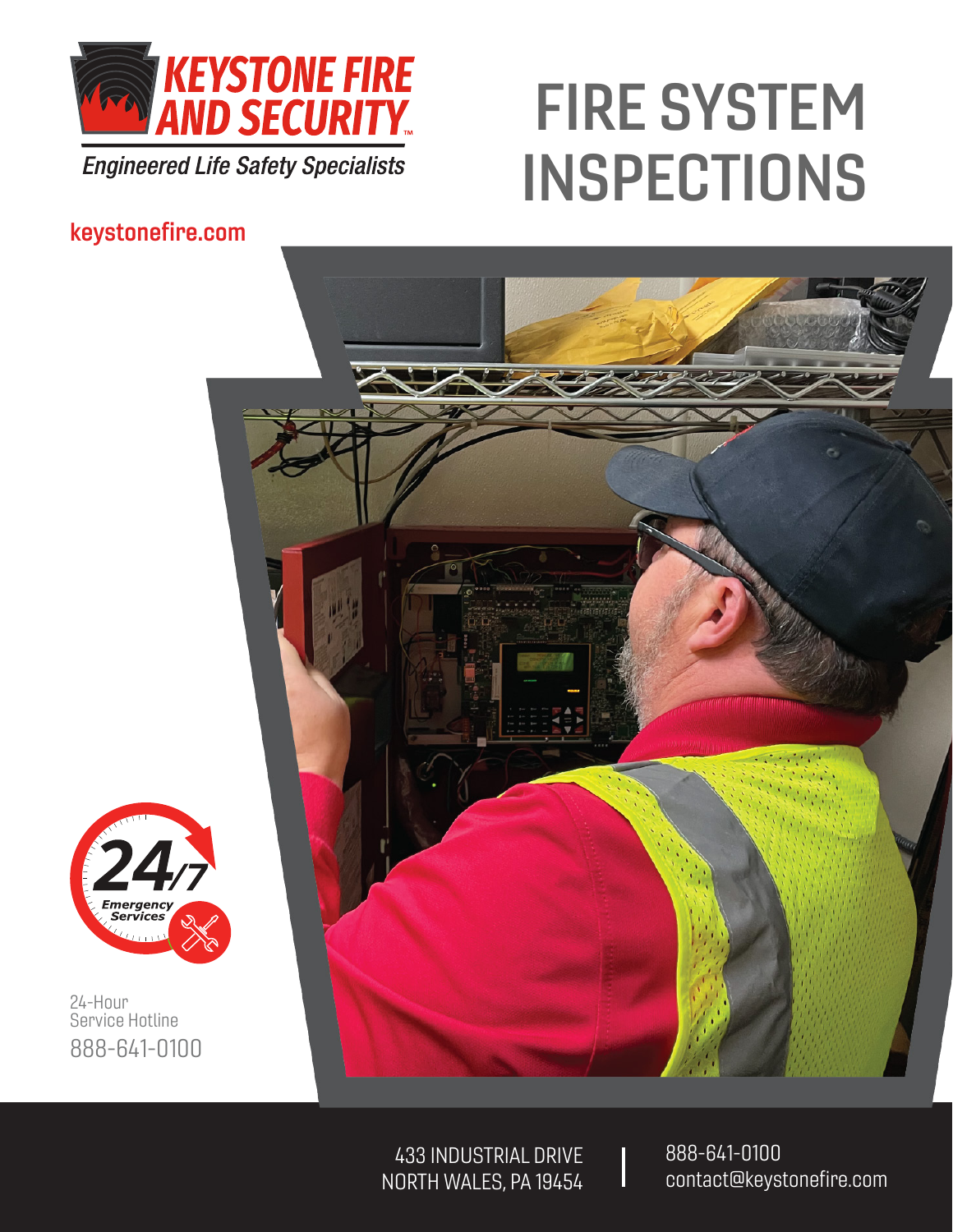

**Engineered Life Safety Specialists** 

# FIRE SYSTEM INSPECTIONS

#### keystonefire.com





24-Hour Service Hotline 888-641-0100

> 433 INDUSTRIAL DRIVE NORTH WALES, PA 19454

888-641-0100 contact@keystonefire.com